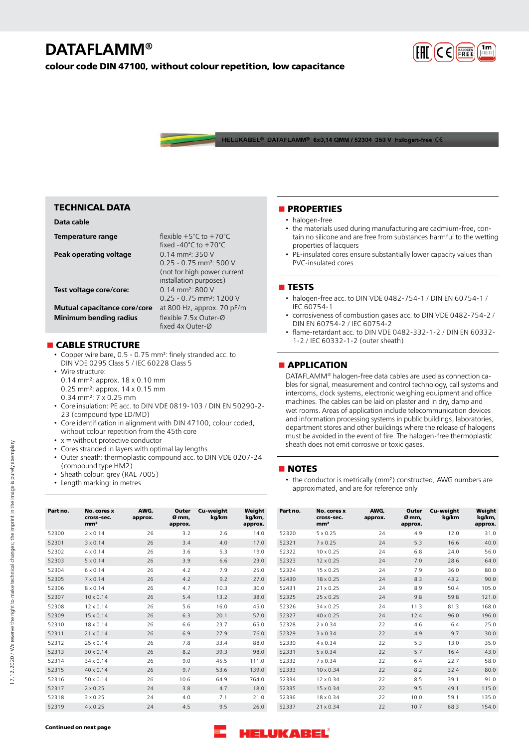# **DATAFLAMM®**

**colour code DIN 47100, without colour repetition, low capacitance**



HELUKABEL® DATAFLAMM® 6x0,14 QMM / 52304 350 V halogen-free C6

| <b>TECHNICAL DATA</b>                                         |                                                                                                                                  |
|---------------------------------------------------------------|----------------------------------------------------------------------------------------------------------------------------------|
| Data cable                                                    |                                                                                                                                  |
| Temperature range                                             | flexible $+5^{\circ}$ C to $+70^{\circ}$ C<br>fixed $-40^{\circ}$ C to $+70^{\circ}$ C                                           |
| Peak operating voltage                                        | $0.14$ mm <sup>2</sup> : 350 V<br>$0.25 - 0.75$ mm <sup>2</sup> : 500 V<br>(not for high power current<br>installation purposes) |
| Test voltage core/core:                                       | $0.14 \text{ mm}^2$ 800 V<br>$0.25 - 0.75$ mm <sup>2</sup> : 1200 V                                                              |
| Mutual capacitance core/core<br><b>Minimum bending radius</b> | at 800 Hz, approx. 70 pF/m<br>flexible 7.5x Outer-Ø<br>fixed 4x Outer-Ø                                                          |

### **n** CABLE STRUCTURE

• Copper wire bare, 0.5 - 0.75 mm²: finely stranded acc. to DIN VDE 0295 Class 5 / IEC 60228 Class 5

- Wire structure:
	- 0.14 mm²: approx. 18 x 0.10 mm 0.25 mm²: approx. 14 x 0.15 mm
- 0.34 mm²: 7 x 0.25 mm
- Core insulation: PE acc. to DIN VDE 0819-103 / DIN EN 50290-2- 23 (compound type LD/MD)
- Core identification in alignment with DIN 47100, colour coded, without colour repetition from the 45th core
- $\bullet$  x = without protective conductor
- Cores stranded in layers with optimal lay lengths
- Outer sheath: thermoplastic compound acc. to DIN VDE 0207-24 (compound type HM2)
- Sheath colour: grey (RAL 7005)
- Length marking: in metres

### **nPROPERTIES**

- halogen-free
- the materials used during manufacturing are cadmium-free, contain no silicone and are free from substances harmful to the wetting properties of lacquers
- PE-insulated cores ensure substantially lower capacity values than PVC-insulated cores

#### **n** TESTS

- halogen-free acc. to DIN VDE 0482-754-1 / DIN EN 60754-1 / IEC 60754-1
- corrosiveness of combustion gases acc. to DIN VDE 0482-754-2 / DIN EN 60754-2 / IEC 60754-2
- flame-retardant acc. to DIN VDE 0482-332-1-2 / DIN EN 60332- 1-2 / IEC 60332-1-2 (outer sheath)

### **nAPPLICATION**

DATAFLAMM® halogen-free data cables are used as connection cables for signal, measurement and control technology, call systems and intercoms, clock systems, electronic weighing equipment and office machines. The cables can be laid on plaster and in dry, damp and wet rooms. Areas of application include telecommunication devices and information processing systems in public buildings, laboratories, department stores and other buildings where the release of halogens must be avoided in the event of fire. The halogen-free thermoplastic sheath does not emit corrosive or toxic gases.

#### **NOTES**

• the conductor is metrically (mm²) constructed, AWG numbers are approximated, and are for reference only

| Part no. | No. cores x<br>cross-sec.<br>mm <sup>2</sup> | AWG,<br>approx. | Outer<br>Ø mm,<br>approx. | Cu-weight<br>kg/km | Weight<br>kg/km,<br>approx. | Part no. | No. cores x<br>cross-sec.<br>mm <sup>2</sup> | AWG,<br>approx. | Outer<br>Ø mm,<br>approx. | Cu-weight<br>kg/km | Weight<br>kg/km,<br>approx. |
|----------|----------------------------------------------|-----------------|---------------------------|--------------------|-----------------------------|----------|----------------------------------------------|-----------------|---------------------------|--------------------|-----------------------------|
| 52300    | $2 \times 0.14$                              | 26              | 3.2                       | 2.6                | 14.0                        | 52320    | $5 \times 0.25$                              | 24              | 4.9                       | 12.0               | 31.0                        |
| 52301    | $3 \times 0.14$                              | 26              | 3.4                       | 4.0                | 17.0                        | 52321    | $7 \times 0.25$                              | 24              | 5.3                       | 16.6               | 40.0                        |
| 52302    | $4 \times 0.14$                              | 26              | 3.6                       | 5.3                | 19.0                        | 52322    | $10 \times 0.25$                             | 24              | 6.8                       | 24.0               | 56.0                        |
| 52303    | $5 \times 0.14$                              | 26              | 3.9                       | 6.6                | 23.0                        | 52323    | 12 x 0.25                                    | 24              | 7.0                       | 28.6               | 64.0                        |
| 52304    | $6 \times 0.14$                              | 26              | 4.2                       | 7.9                | 25.0                        | 52324    | $15 \times 0.25$                             | 24              | 7.9                       | 36.0               | 80.0                        |
| 52305    | $7 \times 0.14$                              | 26              | 4.2                       | 9.2                | 27.0                        | 52430    | $18 \times 0.25$                             | 24              | 8.3                       | 43.2               | 90.0                        |
| 52306    | $8 \times 0.14$                              | 26              | 4.7                       | 10.3               | 30.0                        | 52431    | 21 x 0.25                                    | 24              | 8.9                       | 50.4               | 105.0                       |
| 52307    | $10 \times 0.14$                             | 26              | 5.4                       | 13.2               | 38.0                        | 52325    | 25 x 0.25                                    | 24              | 9.8                       | 59.8               | 121.0                       |
| 52308    | 12 x 0.14                                    | 26              | 5.6                       | 16.0               | 45.0                        | 52326    | 34 x 0.25                                    | 24              | 11.3                      | 81.3               | 168.0                       |
| 52309    | $15 \times 0.14$                             | 26              | 6.3                       | 20.1               | 57.0                        | 52327    | 40 x 0.25                                    | 24              | 12.4                      | 96.0               | 196.0                       |
| 52310    | 18 x 0.14                                    | 26              | 6.6                       | 23.7               | 65.0                        | 52328    | $2 \times 0.34$                              | 22              | 4.6                       | 6.4                | 25.0                        |
| 52311    | 21 x 0.14                                    | 26              | 6.9                       | 27.9               | 76.0                        | 52329    | $3 \times 0.34$                              | 22              | 4.9                       | 9.7                | 30.0                        |
| 52312    | 25 x 0.14                                    | 26              | 7.8                       | 33.4               | 88.0                        | 52330    | $4 \times 0.34$                              | 22              | 5.3                       | 13.0               | 35.0                        |
| 52313    | 30 x 0.14                                    | 26              | 8.2                       | 39.3               | 98.0                        | 52331    | $5 \times 0.34$                              | 22              | 5.7                       | 16.4               | 43.0                        |
| 52314    | 34 x 0.14                                    | 26              | 9.0                       | 45.5               | 111.0                       | 52332    | $7 \times 0.34$                              | 22              | 6.4                       | 22.7               | 58.0                        |
| 52315    | $40 \times 0.14$                             | 26              | 9.7                       | 53.6               | 139.0                       | 52333    | $10 \times 0.34$                             | 22              | 8.2                       | 32.4               | 80.0                        |
| 52316    | 50 x 0.14                                    | 26              | 10.6                      | 64.9               | 764.0                       | 52334    | 12 x 0.34                                    | 22              | 8.5                       | 39.1               | 91.0                        |
| 52317    | $2 \times 0.25$                              | 24              | 3.8                       | 4.7                | 18.0                        | 52335    | 15 x 0.34                                    | 22              | 9.5                       | 49.1               | 115.0                       |
| 52318    | $3 \times 0.25$                              | 24              | 4.0                       | 7.1                | 21.0                        | 52336    | 18 x 0.34                                    | 22              | 10.0                      | 59.1               | 135.0                       |
| 52319    | $4 \times 0.25$                              | 24              | 4.5                       | 9.5                | 26.0                        | 52337    | $21 \times 0.34$                             | 22              | 10.7                      | 68.3               | 154.0                       |